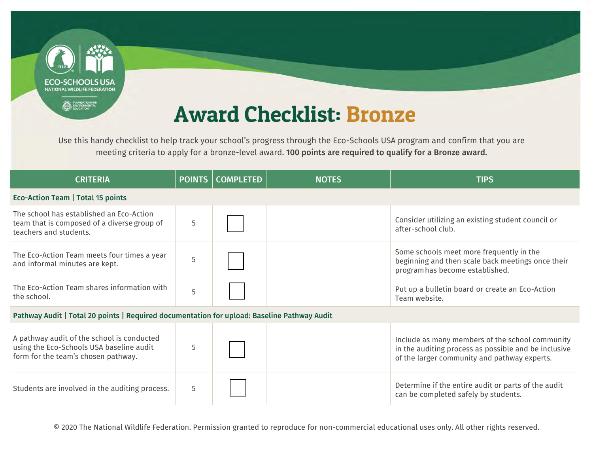

Use this handy checklist to help track your school's progress through the Eco-Schools USA program and confirm that you are meeting criteria to apply for a bronze-level award. 100 points are required to qualify for a Bronze award.

| <b>CRITERIA</b>                                                                                                               | <b>POINTS</b> | <b>COMPLETED</b> | <b>NOTES</b> | <b>TIPS</b>                                                                                                                                             |
|-------------------------------------------------------------------------------------------------------------------------------|---------------|------------------|--------------|---------------------------------------------------------------------------------------------------------------------------------------------------------|
| <b>Eco-Action Team   Total 15 points</b>                                                                                      |               |                  |              |                                                                                                                                                         |
| The school has established an Eco-Action<br>team that is composed of a diverse group of<br>teachers and students.             | 5             |                  |              | Consider utilizing an existing student council or<br>after-school club.                                                                                 |
| The Eco-Action Team meets four times a year<br>and informal minutes are kept.                                                 | 5             |                  |              | Some schools meet more frequently in the<br>beginning and then scale back meetings once their<br>program has become established.                        |
| The Eco-Action Team shares information with<br>the school.                                                                    | 5             |                  |              | Put up a bulletin board or create an Eco-Action<br>Team website.                                                                                        |
| Pathway Audit   Total 20 points   Required documentation for upload: Baseline Pathway Audit                                   |               |                  |              |                                                                                                                                                         |
| A pathway audit of the school is conducted<br>using the Eco-Schools USA baseline audit<br>form for the team's chosen pathway. | 5             |                  |              | Include as many members of the school community<br>in the auditing process as possible and be inclusive<br>of the larger community and pathway experts. |
| Students are involved in the auditing process.                                                                                | 5             |                  |              | Determine if the entire audit or parts of the audit<br>can be completed safely by students.                                                             |

© 2020 The National Wildlife Federation. Permission granted to reproduce for non-commercial educational uses only. All other rights reserved.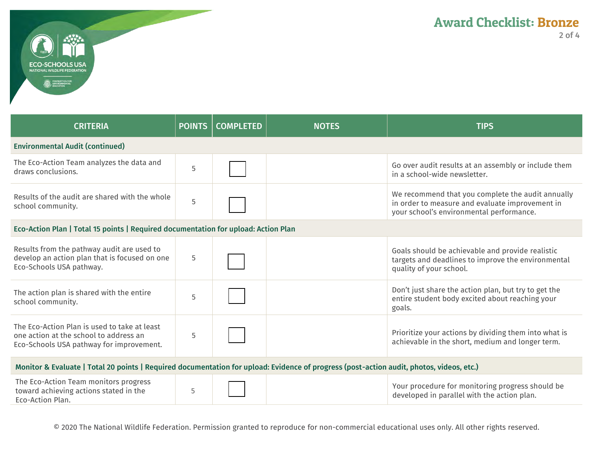

| <b>CRITERIA</b>                                                                                                                          | <b>POINTS</b> | <b>COMPLETED</b> | <b>NOTES</b> | <b>TIPS</b>                                                                                                                                      |
|------------------------------------------------------------------------------------------------------------------------------------------|---------------|------------------|--------------|--------------------------------------------------------------------------------------------------------------------------------------------------|
| <b>Environmental Audit (continued)</b>                                                                                                   |               |                  |              |                                                                                                                                                  |
| The Eco-Action Team analyzes the data and<br>draws conclusions.                                                                          | 5             |                  |              | Go over audit results at an assembly or include them<br>in a school-wide newsletter.                                                             |
| Results of the audit are shared with the whole<br>school community.                                                                      | 5             |                  |              | We recommend that you complete the audit annually<br>in order to measure and evaluate improvement in<br>your school's environmental performance. |
| Eco-Action Plan   Total 15 points   Required documentation for upload: Action Plan                                                       |               |                  |              |                                                                                                                                                  |
| Results from the pathway audit are used to<br>develop an action plan that is focused on one<br>Eco-Schools USA pathway.                  | 5             |                  |              | Goals should be achievable and provide realistic<br>targets and deadlines to improve the environmental<br>quality of your school.                |
| The action plan is shared with the entire<br>school community.                                                                           | 5             |                  |              | Don't just share the action plan, but try to get the<br>entire student body excited about reaching your<br>goals.                                |
| The Eco-Action Plan is used to take at least<br>one action at the school to address an<br>Eco-Schools USA pathway for improvement.       | 5             |                  |              | Prioritize your actions by dividing them into what is<br>achievable in the short, medium and longer term.                                        |
| Monitor & Evaluate   Total 20 points   Required documentation for upload: Evidence of progress (post-action audit, photos, videos, etc.) |               |                  |              |                                                                                                                                                  |
|                                                                                                                                          |               |                  |              |                                                                                                                                                  |

| The Eco-Action Team monitors progress<br>toward achieving actions stated in the<br>Eco-Action Plan. |  |  | Your procedure for monitoring progress should be<br>$\perp$ developed in parallel with the action plan. |
|-----------------------------------------------------------------------------------------------------|--|--|---------------------------------------------------------------------------------------------------------|
|-----------------------------------------------------------------------------------------------------|--|--|---------------------------------------------------------------------------------------------------------|

© 2020 The National Wildlife Federation. Permission granted to reproduce for non-commercial educational uses only. All other rights reserved.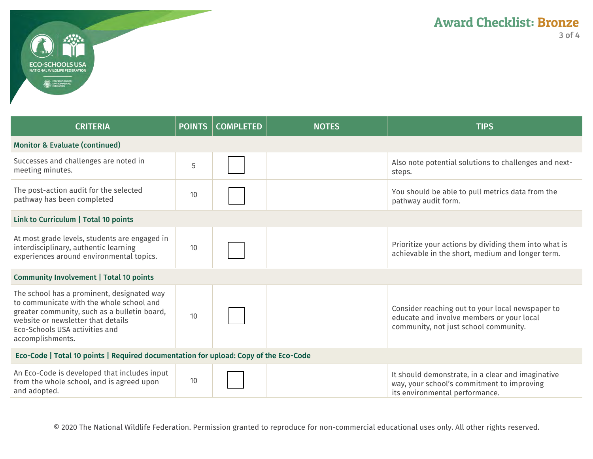

| <b>CRITERIA</b>                                                                                                                                                                                                                    | <b>POINTS</b> | <b>COMPLETED</b> | <b>NOTES</b> | <b>TIPS</b>                                                                                                                            |
|------------------------------------------------------------------------------------------------------------------------------------------------------------------------------------------------------------------------------------|---------------|------------------|--------------|----------------------------------------------------------------------------------------------------------------------------------------|
| <b>Monitor &amp; Evaluate (continued)</b>                                                                                                                                                                                          |               |                  |              |                                                                                                                                        |
| Successes and challenges are noted in<br>meeting minutes.                                                                                                                                                                          | 5             |                  |              | Also note potential solutions to challenges and next-<br>steps.                                                                        |
| The post-action audit for the selected<br>pathway has been completed                                                                                                                                                               | 10            |                  |              | You should be able to pull metrics data from the<br>pathway audit form.                                                                |
| Link to Curriculum   Total 10 points                                                                                                                                                                                               |               |                  |              |                                                                                                                                        |
| At most grade levels, students are engaged in<br>interdisciplinary, authentic learning<br>experiences around environmental topics.                                                                                                 | 10            |                  |              | Prioritize your actions by dividing them into what is<br>achievable in the short, medium and longer term.                              |
| <b>Community Involvement   Total 10 points</b>                                                                                                                                                                                     |               |                  |              |                                                                                                                                        |
| The school has a prominent, designated way<br>to communicate with the whole school and<br>greater community, such as a bulletin board,<br>website or newsletter that details<br>Eco-Schools USA activities and<br>accomplishments. | 10            |                  |              | Consider reaching out to your local newspaper to<br>educate and involve members or your local<br>community, not just school community. |
| Eco-Code   Total 10 points   Required documentation for upload: Copy of the Eco-Code                                                                                                                                               |               |                  |              |                                                                                                                                        |
| An Eco-Code is developed that includes input<br>from the whole school, and is agreed upon<br>and adopted.                                                                                                                          | 10            |                  |              | It should demonstrate, in a clear and imaginative<br>way, your school's commitment to improving<br>its environmental performance.      |